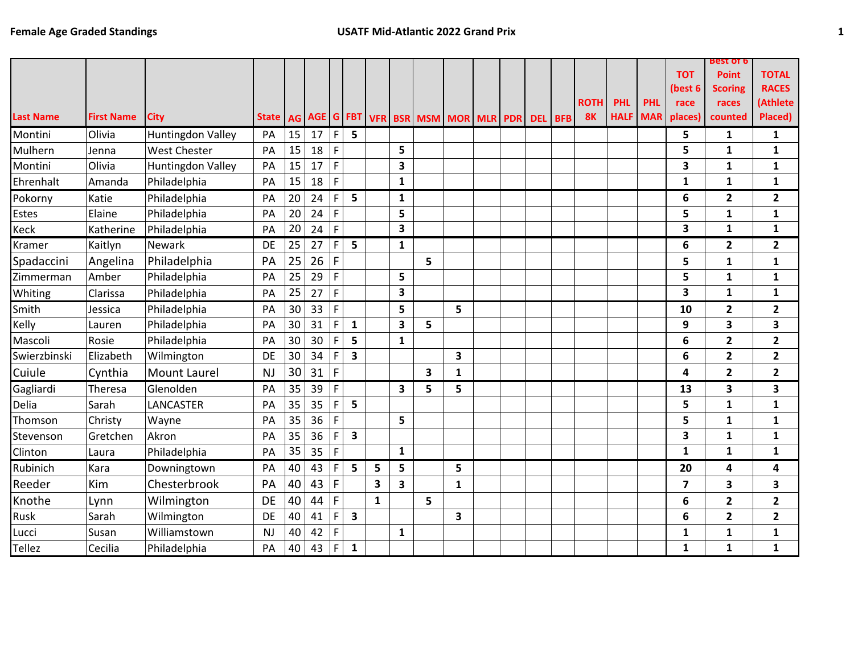|                  |                   |                     |           |                 |    |                |                         |              |                         |                                                                            |   |  |  |             |             |            |                         | <b>best of b</b>        |                         |
|------------------|-------------------|---------------------|-----------|-----------------|----|----------------|-------------------------|--------------|-------------------------|----------------------------------------------------------------------------|---|--|--|-------------|-------------|------------|-------------------------|-------------------------|-------------------------|
|                  |                   |                     |           |                 |    |                |                         |              |                         |                                                                            |   |  |  |             |             |            | <b>TOT</b>              | <b>Point</b>            | <b>TOTAL</b>            |
|                  |                   |                     |           |                 |    |                |                         |              |                         |                                                                            |   |  |  |             |             |            | (best 6                 | <b>Scoring</b>          | <b>RACES</b>            |
|                  |                   |                     |           |                 |    |                |                         |              |                         |                                                                            |   |  |  | <b>ROTH</b> | <b>PHL</b>  | <b>PHL</b> | race                    | races                   | (Athlete                |
| <b>Last Name</b> | <b>First Name</b> | <b>City</b>         |           |                 |    |                |                         |              |                         | State   AG   AGE   G   FBT   VFR   BSR   MSM   MOR   MLR   PDR   DEL   BFB |   |  |  | <b>8K</b>   | <b>HALF</b> |            | <b>MAR</b> places)      | counted                 | Placed)                 |
| Montini          | Olivia            | Huntingdon Valley   | PA        | 15              | 17 | $\mathsf F$    | 5                       |              |                         |                                                                            |   |  |  |             |             |            | 5                       | 1                       | $\mathbf{1}$            |
| Mulhern          | Jenna             | <b>West Chester</b> | PA        | 15              | 18 | $\mathsf F$    |                         |              | 5                       |                                                                            |   |  |  |             |             |            | 5                       | 1                       | $\mathbf{1}$            |
| Montini          | Olivia            | Huntingdon Valley   | PA        | 15              | 17 | $\mathsf F$    |                         |              | 3                       |                                                                            |   |  |  |             |             |            | 3                       | 1                       | $\mathbf{1}$            |
| Ehrenhalt        | Amanda            | Philadelphia        | PA        | 15              | 18 | $\overline{F}$ |                         |              | $\mathbf{1}$            |                                                                            |   |  |  |             |             |            | $\mathbf{1}$            | $\mathbf{1}$            | $\mathbf{1}$            |
| Pokorny          | Katie             | Philadelphia        | PA        | 20              | 24 | F              | 5                       |              | 1                       |                                                                            |   |  |  |             |             |            | 6                       | 2                       | $\overline{2}$          |
| <b>Estes</b>     | Elaine            | Philadelphia        | PA        | 20              | 24 | $\mathsf F$    |                         |              | 5                       |                                                                            |   |  |  |             |             |            | 5                       | 1                       | $\mathbf{1}$            |
| Keck             | Katherine         | Philadelphia        | PA        | 20              | 24 | $\overline{F}$ |                         |              | 3                       |                                                                            |   |  |  |             |             |            | 3                       | $\mathbf{1}$            | $\mathbf{1}$            |
| Kramer           | Kaitlyn           | Newark              | DE        | 25              | 27 | F              | 5                       |              | $\mathbf{1}$            |                                                                            |   |  |  |             |             |            | 6                       | $\mathbf{2}$            | $\overline{\mathbf{2}}$ |
| Spadaccini       | Angelina          | Philadelphia        | PA        | 25              | 26 | $\mathsf{F}$   |                         |              |                         | 5                                                                          |   |  |  |             |             |            | 5                       | 1                       | $\mathbf{1}$            |
| Zimmerman        | Amber             | Philadelphia        | PA        | 25              | 29 | $\overline{F}$ |                         |              | 5                       |                                                                            |   |  |  |             |             |            | 5                       | $\mathbf{1}$            | $\mathbf{1}$            |
| Whiting          | Clarissa          | Philadelphia        | PA        | 25              | 27 | $\mathsf F$    |                         |              | $\overline{\mathbf{3}}$ |                                                                            |   |  |  |             |             |            | 3                       | 1                       | $\mathbf{1}$            |
| Smith            | Jessica           | Philadelphia        | PA        | 30 <sup>°</sup> | 33 | $\mathsf F$    |                         |              | 5                       |                                                                            | 5 |  |  |             |             |            | 10                      | $\mathbf{2}$            | $\overline{2}$          |
| Kelly            | Lauren            | Philadelphia        | PA        | 30              | 31 | $\mathsf F$    | $\mathbf 1$             |              | $\overline{\mathbf{3}}$ | 5                                                                          |   |  |  |             |             |            | 9                       | 3                       | 3                       |
| Mascoli          | Rosie             | Philadelphia        | PA        | 30              | 30 | F              | 5                       |              | $\mathbf{1}$            |                                                                            |   |  |  |             |             |            | 6                       | $\overline{2}$          | $\overline{\mathbf{2}}$ |
| Swierzbinski     | Elizabeth         | Wilmington          | DE        | 30              | 34 | $\mathsf F$    | $\overline{\mathbf{3}}$ |              |                         |                                                                            | 3 |  |  |             |             |            | 6                       | $\mathbf{2}$            | $\overline{2}$          |
| Cuiule           | Cynthia           | Mount Laurel        | <b>NJ</b> | 30 <sup>1</sup> | 31 | $\mathsf F$    |                         |              |                         | 3                                                                          | 1 |  |  |             |             |            | 4                       | $\overline{2}$          | $\overline{2}$          |
| Gagliardi        | Theresa           | Glenolden           | PA        | 35              | 39 | $\mathsf F$    |                         |              | $\overline{\mathbf{3}}$ | 5                                                                          | 5 |  |  |             |             |            | 13                      | $\overline{\mathbf{3}}$ | 3                       |
| Delia            | Sarah             | LANCASTER           | PA        | 35              | 35 | $\mathsf F$    | 5                       |              |                         |                                                                            |   |  |  |             |             |            | 5                       | $\mathbf{1}$            | $\mathbf{1}$            |
| Thomson          | Christy           | Wayne               | PA        | 35              | 36 | $\overline{F}$ |                         |              | 5                       |                                                                            |   |  |  |             |             |            | 5                       | 1                       | $\mathbf{1}$            |
| Stevenson        | Gretchen          | Akron               | PA        | 35              | 36 | F              | $\overline{\mathbf{3}}$ |              |                         |                                                                            |   |  |  |             |             |            | 3                       | 1                       | $\mathbf{1}$            |
| Clinton          | Laura             | Philadelphia        | PA        | 35              | 35 | $\mathsf F$    |                         |              | $\mathbf{1}$            |                                                                            |   |  |  |             |             |            | $\mathbf{1}$            | $\mathbf{1}$            | $\mathbf{1}$            |
| Rubinich         | Kara              | Downingtown         | PA        | 40              | 43 | F              | 5                       | 5            | 5                       |                                                                            | 5 |  |  |             |             |            | 20                      | 4                       | 4                       |
| Reeder           | Kim               | Chesterbrook        | PA        | 40              | 43 | $\mathsf{F}$   |                         | 3            | $\overline{\mathbf{3}}$ |                                                                            | 1 |  |  |             |             |            | $\overline{\mathbf{z}}$ | 3                       | 3                       |
| Knothe           | Lynn              | Wilmington          | DE        | 40              | 44 | F              |                         | $\mathbf{1}$ |                         | 5                                                                          |   |  |  |             |             |            | 6                       | $\overline{2}$          | $\overline{2}$          |
| Rusk             | Sarah             | Wilmington          | DE        | 40              | 41 | $\mathsf F$    | $\overline{\mathbf{3}}$ |              |                         |                                                                            | 3 |  |  |             |             |            | 6                       | $\mathbf{2}$            | $\overline{2}$          |
| Lucci            | Susan             | Williamstown        | <b>NJ</b> | 40              | 42 | $\mathsf F$    |                         |              | $\mathbf{1}$            |                                                                            |   |  |  |             |             |            | $\mathbf{1}$            | $\mathbf{1}$            | $\mathbf{1}$            |
| <b>Tellez</b>    | Cecilia           | Philadelphia        | PA        | 40              | 43 | $\mathsf F$    | $\mathbf 1$             |              |                         |                                                                            |   |  |  |             |             |            | $\mathbf{1}$            | $\mathbf{1}$            | $\mathbf{1}$            |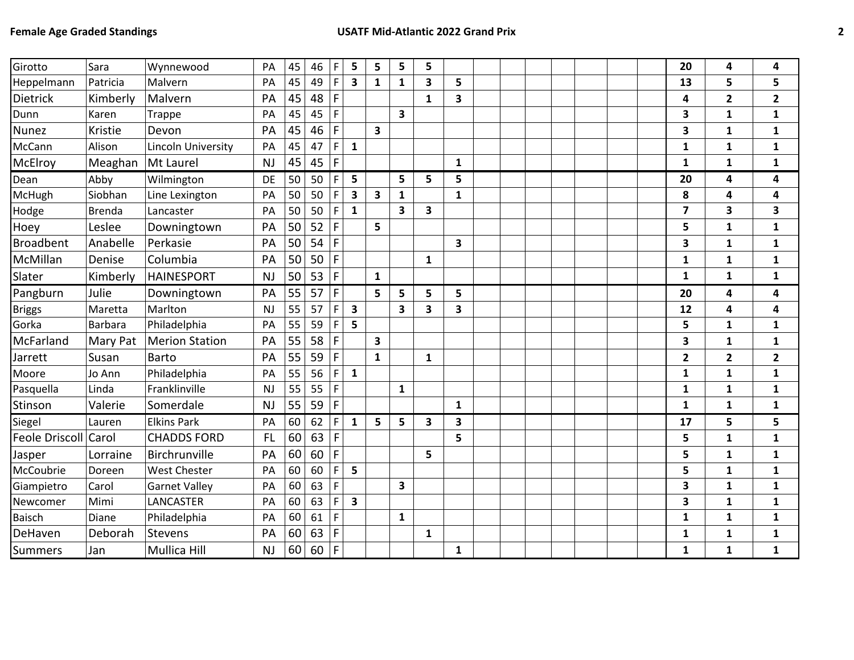| Girotto              | Sara           | Wynnewood             | PA        | 45 | 46 | F              | 5                       | 5                       | 5                       | 5            |                         |  |  |  | 20                      | 4              | 4              |
|----------------------|----------------|-----------------------|-----------|----|----|----------------|-------------------------|-------------------------|-------------------------|--------------|-------------------------|--|--|--|-------------------------|----------------|----------------|
|                      |                |                       |           |    |    |                |                         |                         |                         |              |                         |  |  |  |                         |                |                |
| Heppelmann           | Patricia       | Malvern               | PA        | 45 | 49 | $\mathsf F$    | $\overline{\mathbf{3}}$ | $\mathbf{1}$            | $\mathbf{1}$            | 3            | 5                       |  |  |  | 13                      | 5              | 5              |
| <b>Dietrick</b>      | Kimberly       | Malvern               | PA        | 45 | 48 | F              |                         |                         |                         | 1            | 3                       |  |  |  | 4                       | $\mathbf{2}$   | $\mathbf{2}$   |
| Dunn                 | Karen          | <b>Trappe</b>         | PA        | 45 | 45 | F              |                         |                         | 3                       |              |                         |  |  |  | 3                       | $\mathbf{1}$   | $\mathbf{1}$   |
| <b>Nunez</b>         | Kristie        | Devon                 | PA        | 45 | 46 | $\mathsf F$    |                         | 3                       |                         |              |                         |  |  |  | 3                       | $\mathbf{1}$   | 1              |
| McCann               | Alison         | Lincoln University    | PA        | 45 | 47 | $\mathsf F$    | $\mathbf{1}$            |                         |                         |              |                         |  |  |  | 1                       | $\mathbf{1}$   | $\mathbf{1}$   |
| McElroy              | Meaghan        | Mt Laurel             | <b>NJ</b> | 45 | 45 | $\mathsf F$    |                         |                         |                         |              | $\mathbf{1}$            |  |  |  | $\mathbf{1}$            | 1              | 1              |
| Dean                 | Abby           | Wilmington            | DE        | 50 | 50 | F              | 5                       |                         | 5                       | 5            | 5                       |  |  |  | 20                      | 4              | 4              |
| McHugh               | Siobhan        | Line Lexington        | PA        | 50 | 50 | $\overline{F}$ | 3                       | $\overline{\mathbf{3}}$ | $\mathbf{1}$            |              | $\mathbf{1}$            |  |  |  | 8                       | 4              | 4              |
| Hodge                | <b>Brenda</b>  | Lancaster             | PA        | 50 | 50 | $\mathsf F$    | $\mathbf{1}$            |                         | 3                       | 3            |                         |  |  |  | $\overline{\mathbf{z}}$ | 3              | 3              |
| Hoey                 | Leslee         | Downingtown           | PA        | 50 | 52 | $\mathsf F$    |                         | 5                       |                         |              |                         |  |  |  | 5                       | $\mathbf{1}$   | $\mathbf{1}$   |
| <b>Broadbent</b>     | Anabelle       | Perkasie              | PA        | 50 | 54 | $\mathsf{F}$   |                         |                         |                         |              | $\overline{\mathbf{3}}$ |  |  |  | 3                       | $\mathbf{1}$   | $\mathbf{1}$   |
| McMillan             | Denise         | Columbia              | PA        | 50 | 50 | $\mathsf F$    |                         |                         |                         | 1            |                         |  |  |  | 1                       | 1              | $\mathbf{1}$   |
| Slater               | Kimberly       | <b>HAINESPORT</b>     | <b>NJ</b> | 50 | 53 | $\mathsf F$    |                         | $\mathbf{1}$            |                         |              |                         |  |  |  | $\mathbf{1}$            | $\mathbf{1}$   | 1              |
| Pangburn             | Julie          | Downingtown           | PA        | 55 | 57 | $\mathsf F$    |                         | 5                       | 5                       | 5            | 5                       |  |  |  | 20                      | 4              | 4              |
| <b>Briggs</b>        | Maretta        | Marlton               | <b>NJ</b> | 55 | 57 | F              | $\mathbf{3}$            |                         | $\overline{\mathbf{3}}$ | 3            | 3                       |  |  |  | 12                      | 4              | 4              |
| Gorka                | <b>Barbara</b> | Philadelphia          | PA        | 55 | 59 | $\mathsf F$    | 5                       |                         |                         |              |                         |  |  |  | 5                       | $\mathbf{1}$   | $\mathbf{1}$   |
| McFarland            | Mary Pat       | <b>Merion Station</b> | PA        | 55 | 58 | $\mathsf F$    |                         | $\overline{\mathbf{3}}$ |                         |              |                         |  |  |  | 3                       | $\mathbf{1}$   | $\mathbf{1}$   |
| Jarrett              | Susan          | <b>Barto</b>          | PA        | 55 | 59 | $\mathsf{F}$   |                         | $\mathbf{1}$            |                         | $\mathbf{1}$ |                         |  |  |  | $\mathbf{2}$            | $\overline{2}$ | $\overline{2}$ |
| Moore                | Jo Ann         | Philadelphia          | PA        | 55 | 56 | F              | $\mathbf{1}$            |                         |                         |              |                         |  |  |  | $\mathbf{1}$            | $\mathbf{1}$   | $\mathbf{1}$   |
| Pasquella            | Linda          | Franklinville         | NJ        | 55 | 55 | $\mathsf F$    |                         |                         | $\mathbf{1}$            |              |                         |  |  |  | 1                       | $\mathbf{1}$   | 1              |
| Stinson              | Valerie        | Somerdale             | <b>NJ</b> | 55 | 59 | $\mathsf F$    |                         |                         |                         |              | $\mathbf{1}$            |  |  |  | 1                       | $\mathbf{1}$   | $\mathbf{1}$   |
| Siegel               | Lauren         | <b>Elkins Park</b>    | PA        | 60 | 62 | $\mathsf F$    | $\mathbf{1}$            | 5                       | 5                       | 3            | 3                       |  |  |  | 17                      | 5              | 5              |
| Feole Driscoll Carol |                | <b>CHADDS FORD</b>    | <b>FL</b> | 60 | 63 | $\mathsf{F}$   |                         |                         |                         |              | 5                       |  |  |  | 5                       | $\mathbf{1}$   | $\mathbf{1}$   |
| Jasper               | Lorraine       | Birchrunville         | PA        | 60 | 60 | $\mathsf F$    |                         |                         |                         | 5            |                         |  |  |  | 5                       | $\mathbf{1}$   | 1              |
| McCoubrie            | Doreen         | West Chester          | PA        | 60 | 60 | $\mathsf F$    | 5                       |                         |                         |              |                         |  |  |  | 5                       | $\mathbf{1}$   | $\mathbf{1}$   |
| Giampietro           | Carol          | <b>Garnet Valley</b>  | PA        | 60 | 63 | $\overline{F}$ |                         |                         | 3                       |              |                         |  |  |  | 3                       | $\mathbf{1}$   | $\mathbf{1}$   |
| Newcomer             | Mimi           | LANCASTER             | PA        | 60 | 63 | F              | $\overline{\mathbf{3}}$ |                         |                         |              |                         |  |  |  | 3                       | $\mathbf{1}$   | $\mathbf{1}$   |
| <b>Baisch</b>        | Diane          | Philadelphia          | PA        | 60 | 61 | $\mathsf F$    |                         |                         | $\mathbf{1}$            |              |                         |  |  |  | 1                       | $\mathbf{1}$   | $\mathbf{1}$   |
| DeHaven              | Deborah        | <b>Stevens</b>        | PA        | 60 | 63 | $\mathsf F$    |                         |                         |                         | 1            |                         |  |  |  | $\mathbf{1}$            | $\mathbf{1}$   | $\mathbf 1$    |
| <b>Summers</b>       | Jan            | Mullica Hill          | <b>NJ</b> | 60 | 60 | $\overline{F}$ |                         |                         |                         |              | $\mathbf{1}$            |  |  |  | 1                       | 1              | $\mathbf{1}$   |